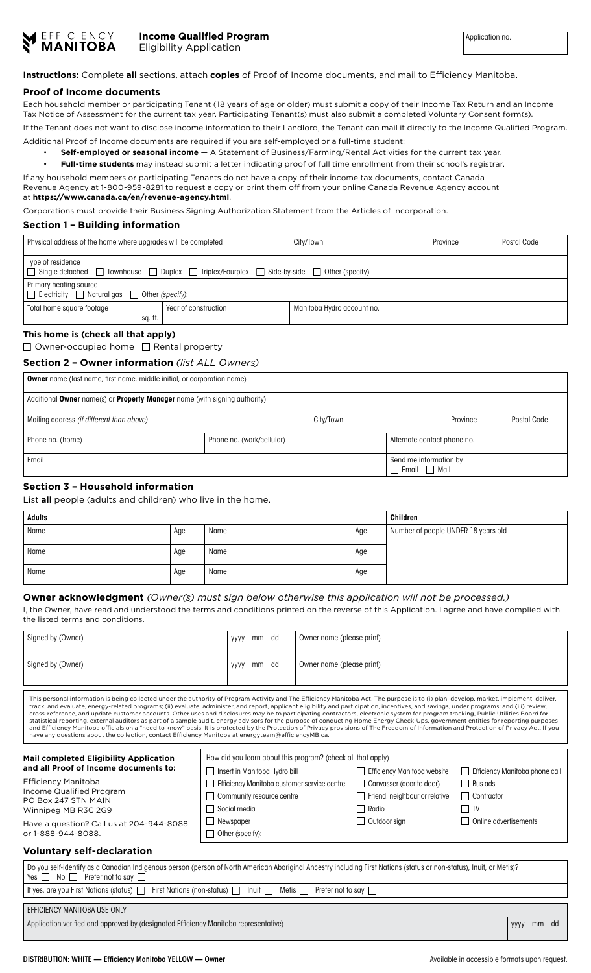

**Instructions:** Complete **all** sections, attach **copies** of Proof of Income documents, and mail to Efficiency Manitoba.

### **Proof of Income documents**

Each household member or participating Tenant (18 years of age or older) must submit a copy of their Income Tax Return and an Income Tax Notice of Assessment for the current tax year. Participating Tenant(s) must also submit a completed Voluntary Consent form(s). If the Tenant does not want to disclose income information to their Landlord, the Tenant can mail it directly to the Income Qualified Program.

Additional Proof of Income documents are required if you are self-employed or a full-time student:

• **Self-employed or seasonal income** — A Statement of Business/Farming/Rental Activities for the current tax year.

• **Full-time students** may instead submit a letter indicating proof of full time enrollment from their school's registrar.

If any household members or participating Tenants do not have a copy of their income tax documents, contact Canada Revenue Agency at 1-800-959-8281 to request a copy or print them off from your online Canada Revenue Agency account at **https://www.canada.ca/en/revenue-agency.html**.

Corporations must provide their Business Signing Authorization Statement from the Articles of Incorporation.

## **Section 1 – Building information**

| Physical address of the home where upgrades will be completed                                                  |                      | City/Town                  | Province | Postal Code |  |
|----------------------------------------------------------------------------------------------------------------|----------------------|----------------------------|----------|-------------|--|
| Type of residence<br>Single detached □ Townhouse □ Duplex □ Triplex/Fourplex □ Side-by-side □ Other (specify): |                      |                            |          |             |  |
| Primary heating source<br>$\Box$ Electricity $\Box$ Natural gas $\Box$ Other (specify):                        |                      |                            |          |             |  |
| Total home square footage                                                                                      | Year of construction | Manitoba Hydro account no. |          |             |  |
| sq. ft.                                                                                                        |                      |                            |          |             |  |

# **This home is (check all that apply)**

 $\Box$  Owner-occupied home  $\Box$  Rental property

### **Section 2 – Owner information** *(list ALL Owners)*

| <b>Owner</b> name (last name, first name, middle initial, or corporation name) |                           |                                                    |             |  |  |
|--------------------------------------------------------------------------------|---------------------------|----------------------------------------------------|-------------|--|--|
| Additional Owner name(s) or Property Manager name (with signing authority)     |                           |                                                    |             |  |  |
| Mailing address <i>(if different than above)</i>                               | City/Town                 | Province                                           | Postal Code |  |  |
| Phone no. (home)                                                               | Phone no. (work/cellular) | Alternate contact phone no.                        |             |  |  |
| Email                                                                          |                           | Send me information by<br>$\Box$ Email $\Box$ Mail |             |  |  |

## **Section 3 – Household information**

List **all** people (adults and children) who live in the home.

| <b>Adults</b> |     |      | <b>Children</b> |                                     |
|---------------|-----|------|-----------------|-------------------------------------|
| Name          | Age | Name | Age             | Number of people UNDER 18 years old |
| Name          | Age | Name | Age             |                                     |
| Name          | Age | Name | Age             |                                     |

### **Owner acknowledgment** *(Owner(s) must sign below otherwise this application will not be processed.)*

I, the Owner, have read and understood the terms and conditions printed on the reverse of this Application. I agree and have complied with the listed terms and conditions.

| Signed by (Owner) | mm<br>dd<br>yyyy | Owner name (please print) |
|-------------------|------------------|---------------------------|
| Signed by (Owner) | mm<br>dd<br>yyyy | Owner name (please print) |

This personal information is being collected under the authority of Program Activity and The Efficiency Manitoba Act. The purpose is to (i) plan, develop, market, implement, deliver,<br>track, and evaluate, energy-related pro statistical reporting, external auditors as part of a sample audit, energy advisors for the purpose of conducting Home Energy Check-Ups, government entities for reporting purposes and Efficiency Manitoba officials on a "need to know" basis. It is protected by the Protection of Privacy provisions of The Freedom of Information and Protection of Privacy Act. If you<br>have any questions about the collect

| <b>Mail completed Eligibility Application</b>                                                                         | How did you learn about this program? (check all that apply) |                                      |                                |  |
|-----------------------------------------------------------------------------------------------------------------------|--------------------------------------------------------------|--------------------------------------|--------------------------------|--|
| and all Proof of Income documents to:                                                                                 | Insert in Manitoba Hydro bill                                | Efficiency Manitoba website          | Efficiency Manitoba phone call |  |
| <b>Efficiency Manitoba</b>                                                                                            | Efficiency Manitoba customer service centre                  | Canvasser (door to door)             | Bus ads                        |  |
| Income Qualified Program<br>PO Box 247 STN MAIN                                                                       | Community resource centre                                    | $\Box$ Friend, neighbour or relative | Contractor                     |  |
| Winnipeg MB R3C 2G9                                                                                                   | Social media                                                 | $\Box$ Radio                         | l TV                           |  |
| Have a question? Call us at 204-944-8088                                                                              | $\Box$ Newspaper                                             | $\Box$ Outdoor sign                  | Online advertisements          |  |
| or 1-888-944-8088.                                                                                                    | $\Box$ Other (specify):                                      |                                      |                                |  |
| <b>Alternative Contract Contract Contract Contract Contract Contract Contract Contract Contract Contract Contract</b> |                                                              |                                      |                                |  |

### **Voluntary self-declaration**

| Do you self-identify as a Canadian Indigenous person (person of North American Aboriginal Ancestry including First Nations (status or non-status), Inuit, or Metis)?<br>Yes $\Box$ No $\Box$ Prefer not to say $\Box$ |    |  |  |  |
|-----------------------------------------------------------------------------------------------------------------------------------------------------------------------------------------------------------------------|----|--|--|--|
| If yes, are you First Nations (status) $\Box$ First Nations (non-status) $\Box$ Inuit $\Box$ Metis $\Box$ Prefer not to say $\Box$                                                                                    |    |  |  |  |
|                                                                                                                                                                                                                       |    |  |  |  |
| EFFICIENCY MANITOBA USE ONLY                                                                                                                                                                                          |    |  |  |  |
| Application verified and approved by (designated Efficiency Manitoba representative)                                                                                                                                  | mm |  |  |  |